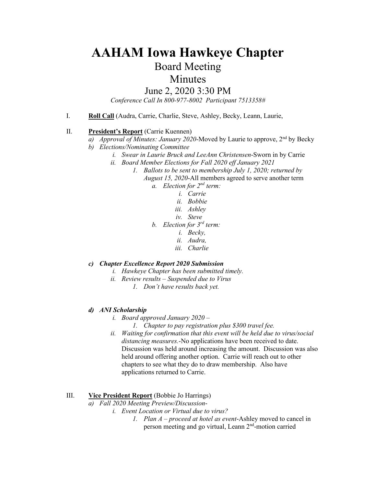# **AAHAM Iowa Hawkeye Chapter**

## Board Meeting

### Minutes

### June 2, 2020 3:30 PM

*Conference Call In 800-977-8002 Participant 7513358#*

I. **Roll Call** (Audra, Carrie, Charlie, Steve, Ashley, Becky, Leann, Laurie,

#### II. **President's Report** (Carrie Kuennen)

- *a) Approval of Minutes: January 2020*-Moved by Laurie to approve,  $2^{nd}$  by Becky
- *b) Elections/Nominating Committee*
	- *i. Swear in Laurie Bruck and LeeAnn Christensen*-Sworn in by Carrie
	- *ii. Board Member Elections for Fall 2020 eff January 2021*
		- *1. Ballots to be sent to membership July 1, 2020; returned by* 
			- *August 15, 2020*-All members agreed to serve another term
				- *a. Election for 2nd term:* 
					- *i. Carrie*
					- *ii. Bobbie*
					- *iii. Ashley*
					- *iv. Steve*
				- *b. Election for 3rd term:* 
					- *i. Becky,*
					- *ii. Audra,*
					- *iii. Charlie*
- *c) Chapter Excellence Report 2020 Submission*
	- *i. Hawkeye Chapter has been submitted timely.*
	- *ii. Review results – Suspended due to Virus*
		- *1. Don't have results back yet.*
- *d) ANI Scholarship*
	- *i. Board approved January 2020 –*
		- *1. Chapter to pay registration plus \$300 travel fee.*
	- *ii. Waiting for confirmation that this event will be held due to virus/social distancing measures.*-No applications have been received to date. Discussion was held around increasing the amount. Discussion was also held around offering another option. Carrie will reach out to other chapters to see what they do to draw membership. Also have applications returned to Carrie.

#### III. **Vice President Report** (Bobbie Jo Harrings)

- *a) Fall 2020 Meeting Preview/Discussion*
	- *i. Event Location or Virtual due to virus?*
		- *1. Plan A – proceed at hotel as event*-Ashley moved to cancel in person meeting and go virtual, Leann 2<sup>nd</sup>-motion carried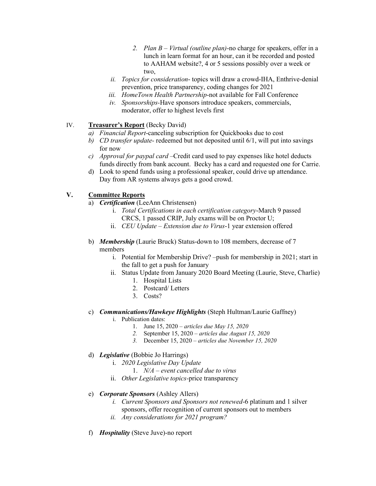- *2. Plan B – Virtual (outline plan)*-no charge for speakers, offer in a lunch in learn format for an hour, can it be recorded and posted to AAHAM website?, 4 or 5 sessions possibly over a week or two,
- *ii. Topics for consideration* topics will draw a crowd-IHA, Enthrive-denial prevention, price transparency, coding changes for 2021
- *iii. HomeTown Health Partnership*-not available for Fall Conference
- *iv. Sponsorships-*Have sponsors introduce speakers, commercials, moderator, offer to highest levels first
- IV. **Treasurer's Report** (Becky David)
	- *a) Financial Report*-canceling subscription for Quickbooks due to cost
	- *b) CD transfer update-* redeemed but not deposited until 6/1, will put into savings for now
	- *c) Approval for paypal card –*Credit card used to pay expenses like hotel deducts funds directly from bank account. Becky has a card and requested one for Carrie.
	- d) Look to spend funds using a professional speaker, could drive up attendance. Day from AR systems always gets a good crowd.

#### **V. Committee Reports**

- a) *Certification* (LeeAnn Christensen)
	- i. *Total Certifications in each certification category*-March 9 passed CRCS, 1 passed CRIP, July exams will be on Proctor U;
	- ii. *CEU Update Extension due to Virus*-1 year extension offered
- b) *Membership* (Laurie Bruck) Status-down to 108 members, decrease of 7 members
	- i. Potential for Membership Drive? –push for membership in 2021; start in the fall to get a push for January
	- ii. Status Update from January 2020 Board Meeting (Laurie, Steve, Charlie)
		- 1. Hospital Lists
		- 2. Postcard/ Letters
		- 3. Costs?
- c) *Communications/Hawkeye Highlights* (Steph Hultman/Laurie Gaffney)
	- i. Publication dates:
		- 1. June 15, 2020 *– articles due May 15, 2020*
		- *2.* September 15, 2020 *articles due August 15, 2020*
		- *3.* December 15, 2020 *– articles due November 15, 2020*
- d) *Legislative* (Bobbie Jo Harrings)
	- i. *2020 Legislative Day Update*
		- 1. *N/A – event cancelled due to virus*
	- ii. *Other Legislative topics-*price transparency
- e) *Corporate Sponsors* (Ashley Allers)
	- *i. Current Sponsors and Sponsors not renewed*-6 platinum and 1 silver sponsors, offer recognition of current sponsors out to members
	- *ii. Any considerations for 2021 program?*
- f) *Hospitality* (Steve Juve)-no report